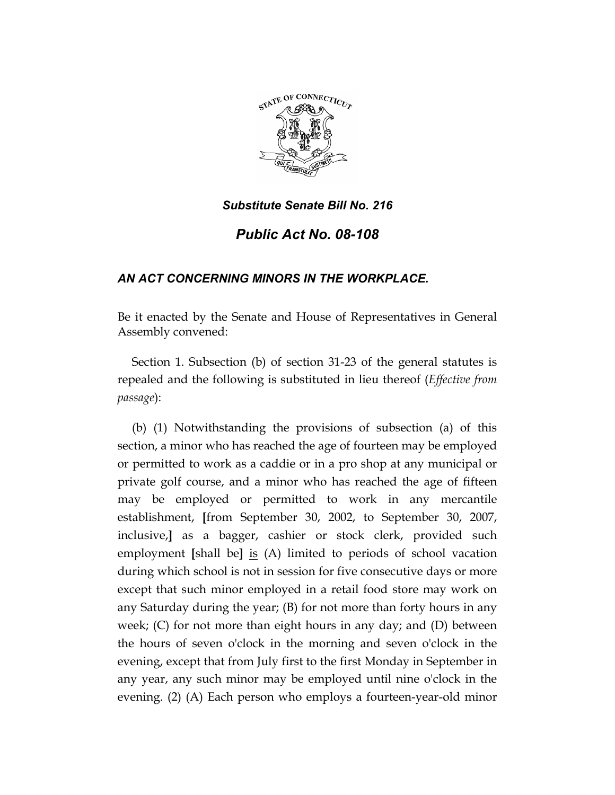

## *Substitute Senate Bill No. 216*

## *Public Act No. 08-108*

## *AN ACT CONCERNING MINORS IN THE WORKPLACE.*

Be it enacted by the Senate and House of Representatives in General Assembly convened:

Section 1. Subsection (b) of section 31-23 of the general statutes is repealed and the following is substituted in lieu thereof (*Effective from passage*):

(b) (1) Notwithstanding the provisions of subsection (a) of this section, a minor who has reached the age of fourteen may be employed or permitted to work as a caddie or in a pro shop at any municipal or private golf course, and a minor who has reached the age of fifteen may be employed or permitted to work in any mercantile establishment, **[**from September 30, 2002, to September 30, 2007, inclusive,**]** as a bagger, cashier or stock clerk, provided such employment **[**shall be**]** is (A) limited to periods of school vacation during which school is not in session for five consecutive days or more except that such minor employed in a retail food store may work on any Saturday during the year; (B) for not more than forty hours in any week; (C) for not more than eight hours in any day; and (D) between the hours of seven o'clock in the morning and seven o'clock in the evening, except that from July first to the first Monday in September in any year, any such minor may be employed until nine o'clock in the evening. (2) (A) Each person who employs a fourteen-year-old minor